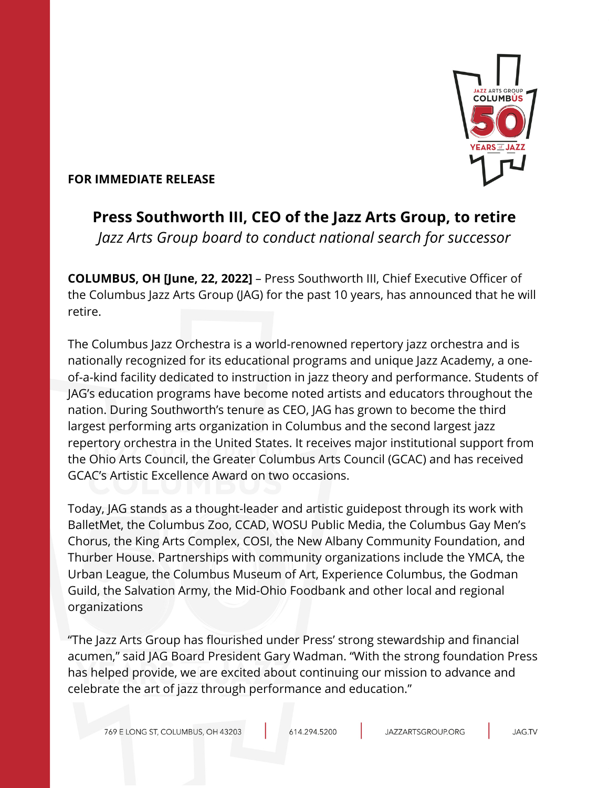

## **FOR IMMEDIATE RELEASE**

# **Press Southworth III, CEO of the Jazz Arts Group, to retire** *Jazz Arts Group board to conduct national search for successor*

**COLUMBUS, OH [June, 22, 2022]** – Press Southworth III, Chief Executive Officer of the Columbus Jazz Arts Group (JAG) for the past 10 years, has announced that he will retire.

The Columbus Jazz Orchestra is a world-renowned repertory jazz orchestra and is nationally recognized for its educational programs and unique Jazz Academy, a oneof-a-kind facility dedicated to instruction in jazz theory and performance. Students of JAG's education programs have become noted artists and educators throughout the nation. During Southworth's tenure as CEO, JAG has grown to become the third largest performing arts organization in Columbus and the second largest jazz repertory orchestra in the United States. It receives major institutional support from the Ohio Arts Council, the Greater Columbus Arts Council (GCAC) and has received GCAC's Artistic Excellence Award on two occasions.

Today, JAG stands as a thought-leader and artistic guidepost through its work with BalletMet, the Columbus Zoo, CCAD, WOSU Public Media, the Columbus Gay Men's Chorus, the King Arts Complex, COSI, the New Albany Community Foundation, and Thurber House. Partnerships with community organizations include the YMCA, the Urban League, the Columbus Museum of Art, Experience Columbus, the Godman Guild, the Salvation Army, the Mid-Ohio Foodbank and other local and regional organizations

"The Jazz Arts Group has flourished under Press' strong stewardship and financial acumen," said JAG Board President Gary Wadman. "With the strong foundation Press has helped provide, we are excited about continuing our mission to advance and celebrate the art of jazz through performance and education."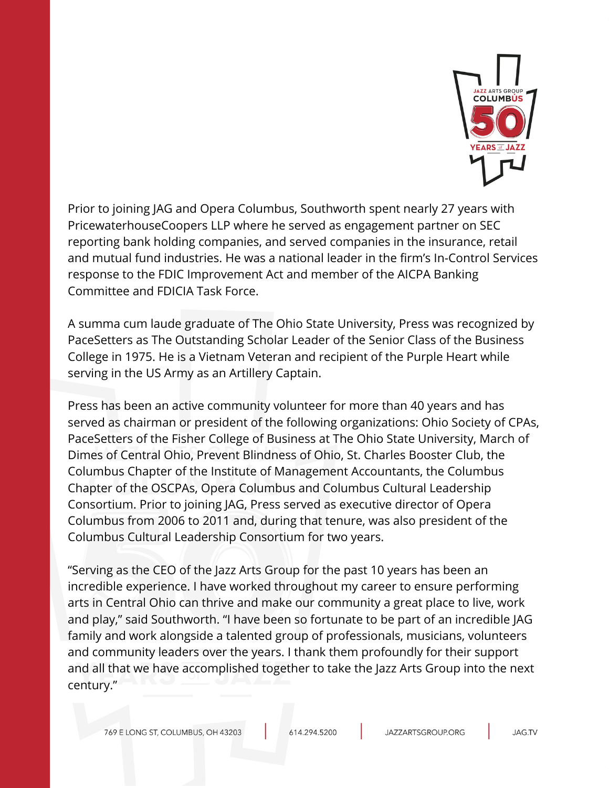

Prior to joining JAG and Opera Columbus, Southworth spent nearly 27 years with PricewaterhouseCoopers LLP where he served as engagement partner on SEC reporting bank holding companies, and served companies in the insurance, retail and mutual fund industries. He was a national leader in the firm's In-Control Services response to the FDIC Improvement Act and member of the AICPA Banking Committee and FDICIA Task Force.

A summa cum laude graduate of The Ohio State University, Press was recognized by PaceSetters as The Outstanding Scholar Leader of the Senior Class of the Business College in 1975. He is a Vietnam Veteran and recipient of the Purple Heart while serving in the US Army as an Artillery Captain.

Press has been an active community volunteer for more than 40 years and has served as chairman or president of the following organizations: Ohio Society of CPAs, PaceSetters of the Fisher College of Business at The Ohio State University, March of Dimes of Central Ohio, Prevent Blindness of Ohio, St. Charles Booster Club, the Columbus Chapter of the Institute of Management Accountants, the Columbus Chapter of the OSCPAs, Opera Columbus and Columbus Cultural Leadership Consortium. Prior to joining JAG, Press served as executive director of Opera Columbus from 2006 to 2011 and, during that tenure, was also president of the Columbus Cultural Leadership Consortium for two years.

"Serving as the CEO of the Jazz Arts Group for the past 10 years has been an incredible experience. I have worked throughout my career to ensure performing arts in Central Ohio can thrive and make our community a great place to live, work and play," said Southworth. "I have been so fortunate to be part of an incredible JAG family and work alongside a talented group of professionals, musicians, volunteers and community leaders over the years. I thank them profoundly for their support and all that we have accomplished together to take the Jazz Arts Group into the next century."